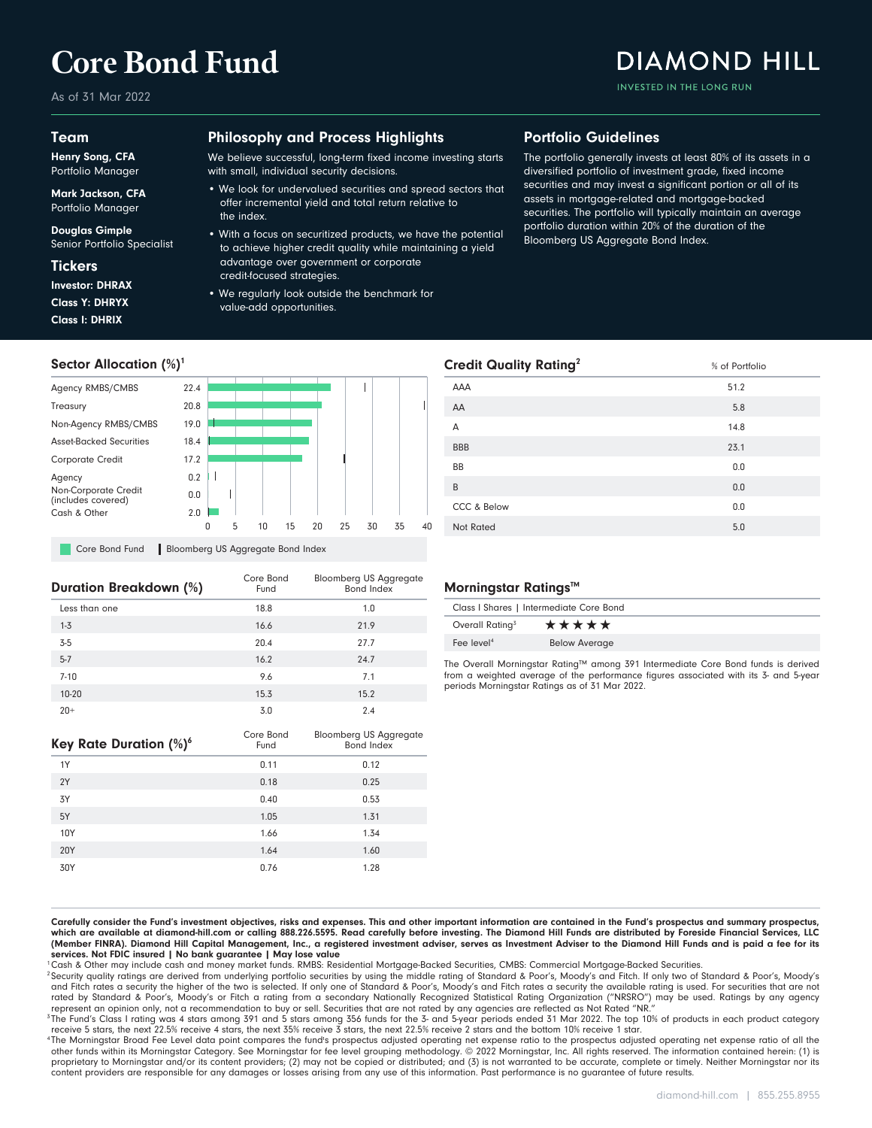# **Core Bond Fund**

As of 31 Mar 2022

## Team

Henry Song, CFA Portfolio Manager

Mark Jackson, CFA Portfolio Manager

Douglas Gimple Senior Portfolio Specialist

## **Tickers**

Class I: DHRIX Class Y: DHRYX Investor: DHRAX

# Philosophy and Process Highlights

We believe successful, long-term fixed income investing starts with small, individual security decisions.

• We look for undervalued securities and spread sectors that offer incremental yield and total return relative to the index.

#### • With a focus on securitized products, we have the potential to achieve higher credit quality while maintaining a yield advantage over government or corporate credit-focused strategies.

• We regularly look outside the benchmark for value-add opportunities.

# Portfolio Guidelines

The portfolio generally invests at least 80% of its assets in a diversified portfolio of investment grade, fixed income securities and may invest a significant portion or all of its assets in mortgage-related and mortgage-backed securities. The portfolio will typically maintain an average portfolio duration within 20% of the duration of the Bloomberg US Aggregate Bond Index.

INVESTED IN THE LONG RUN

**DIAMOND HILL** 



**Core Bond Fund Bloomberg US Aggregate Bond Index** 

| Duration Breakdown (%) | Core Bond<br>Fund | <b>Bloomberg US Aggregate</b><br>Bond Index |
|------------------------|-------------------|---------------------------------------------|
| Less than one          | 18.8              | 1.0                                         |
| $1 - 3$                | 16.6              | 21.9                                        |
| $3-5$                  | 20.4              | 27.7                                        |
| $5 - 7$                | 16.2              | 24.7                                        |
| $7 - 10$               | 9.6               | 7.1                                         |
| 10-20                  | 15.3              | 15.2                                        |
| $20+$                  | 3.0               | 2.4                                         |

| Key Rate Duration (%) <sup>6</sup> | Core Bond<br>Fund | <b>Bloomberg US Aggregate</b><br><b>Bond Index</b> |
|------------------------------------|-------------------|----------------------------------------------------|
| 1Y                                 | 0.11              | 0.12                                               |
| 2Y                                 | 0.18              | 0.25                                               |
| 3Y                                 | 0.40              | 0.53                                               |
| 5Y                                 | 1.05              | 1.31                                               |
| 10Y                                | 1.66              | 1.34                                               |
| <b>20Y</b>                         | 1.64              | 1.60                                               |
| 30Y                                | 0.76              | 1.28                                               |

# Morningstar Ratings™

| Class I Shares   Intermediate Core Bond |                      |
|-----------------------------------------|----------------------|
| Overall Rating <sup>3</sup>             | *****                |
| Fee level <sup>4</sup>                  | <b>Below Average</b> |

Not Rated 5.0 CCC & Below 0.0 B 0.0 BB 0.0 BBB 23.1  $\mathsf A$  14.8  $AA$  5.8  $\mathsf{AAA}$  51.2 **Credit Quality Rating<sup>2</sup>** 8 of Portfolio

The Overall Morningstar Rating™ among 391 Intermediate Core Bond funds is derived from a weighted average of the performance figures associated with its 3- and 5-year periods Morningstar Ratings as of 31 Mar 2022.

Carefully consider the Fund's investment objectives, risks and expenses. This and other important information are contained in the Fund's prospectus and summary prospectus, which are available at diamond-hill.com or calling 888.226.5595. Read carefully before investing. The Diamond Hill Funds are distributed by Foreside Financial Services, LLC (Member FINRA). Diamond Hill Capital Management, Inc., a registered investment adviser, serves as Investment Adviser to the Diamond Hill Funds and is paid a fee for its services. Not FDIC insured | No bank guarantee | May lose value

<sup>1</sup>Cash & Other may include cash and money market funds. RMBS: Residential Mortgage-Backed Securities, CMBS: Commercial Mortgage-Backed Securities.

<sup>2</sup> Security quality ratings are derived from underlying portfolio securities by using the middle rating of Standard & Poor's, Moody's and Fitch. If only two of Standard & Poor's, Moody's and Fitch rates a security the higher of the two is selected. If only one of Standard & Poor's, Moody's and Fitch rates a security the available rating is used. For securities that are not<br>rated by Standard & Poor's, Moody represent an opinion only, not a recommendation to buy or sell. Securities that are not rated by any agencies are reflected as Not Rated "NR."

<sup>3</sup>The Fund's Class I rating was 4 stars among 391 and 5 stars among 356 funds for the 3- and 5-year periods ended 31 Mar 2022. The top 10% of products in each product category receive 5 stars, the next 22.5% receive 4 stars, the next 35% receive 3 stars, the next 22.5% receive 2 stars and the bottom 10% receive 1 star.

<sup>4</sup>The Morningstar Broad Fee Level data point compares the fund's prospectus adjusted operating net expense ratio of and the or operating net expense ratio of all the other funds within its Morningstar Category. See Morningstar for fee level grouping methodology. © 2022 Morningstar, Inc. All rights reserved. The information contained herein: (1) is proprietary to Morningstar and/or its content providers; (2) may not be copied or distributed; and (3) is not warranted to be accurate, complete or timely. Neither Morningstar nor its content providers are responsible for any damages or losses arising from any use of this information. Past performance is no guarantee of future results.